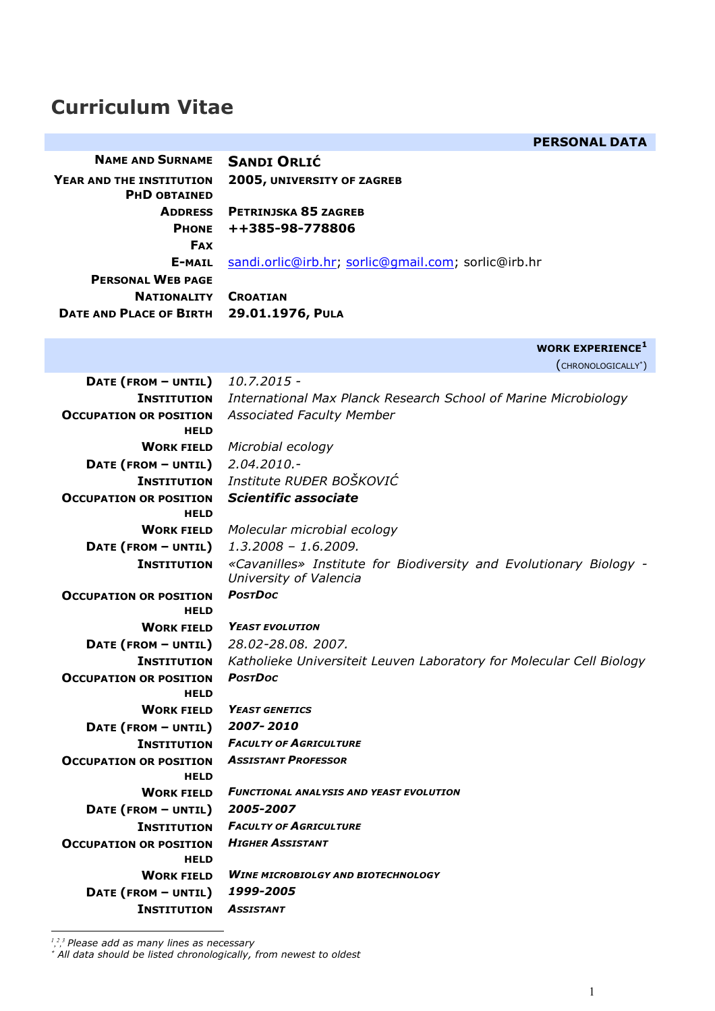# **Curriculum Vitae**

|                                                 | <b>PERSONAL DATA</b>                                                                         |
|-------------------------------------------------|----------------------------------------------------------------------------------------------|
| <b>NAME AND SURNAME</b>                         | <b>SANDI ORLIĆ</b>                                                                           |
| YEAR AND THE INSTITUTION<br><b>PHD OBTAINED</b> | 2005, UNIVERSITY OF ZAGREB                                                                   |
| <b>ADDRESS</b>                                  | PETRINJSKA 85 ZAGREB                                                                         |
| <b>PHONE</b>                                    | ++385-98-778806                                                                              |
| <b>FAX</b>                                      |                                                                                              |
| E-MAIL                                          | sandi.orlic@irb.hr; sorlic@qmail.com; sorlic@irb.hr                                          |
| <b>PERSONAL WEB PAGE</b>                        |                                                                                              |
| <b>NATIONALITY</b>                              | <b>CROATIAN</b>                                                                              |
| <b>DATE AND PLACE OF BIRTH</b>                  | 29.01.1976, PULA                                                                             |
|                                                 | <b>WORK EXPERIENCE</b> <sup>1</sup>                                                          |
|                                                 | (CHRONOLOGICALLY <sup>*</sup> )                                                              |
| DATE (FROM - UNTIL)                             | 10.7.2015 -                                                                                  |
| <b>INSTITUTION</b>                              | International Max Planck Research School of Marine Microbiology                              |
| <b>OCCUPATION OR POSITION</b><br><b>HELD</b>    | <b>Associated Faculty Member</b>                                                             |
| <b>WORK FIELD</b>                               | Microbial ecology                                                                            |
| DATE (FROM - UNTIL)                             | $2.04.2010.-$                                                                                |
| <b>INSTITUTION</b>                              | Institute RUĐER BOŠKOVIĆ                                                                     |
| <b>OCCUPATION OR POSITION</b>                   | <b>Scientific associate</b>                                                                  |
| <b>HELD</b>                                     |                                                                                              |
| <b>WORK FIELD</b>                               | Molecular microbial ecology                                                                  |
| DATE (FROM - UNTIL)                             | $1.3.2008 - 1.6.2009.$                                                                       |
| <b>INSTITUTION</b>                              | «Cavanilles» Institute for Biodiversity and Evolutionary Biology -<br>University of Valencia |
| <b>OCCUPATION OR POSITION</b>                   | <b>POSTDOC</b>                                                                               |
| <b>HELD</b>                                     |                                                                                              |
| <b>WORK FIELD</b>                               | <b>YEAST EVOLUTION</b>                                                                       |
| DATE (FROM - UNTIL)                             | 28.02-28.08.2007.                                                                            |
| <b>INSTITUTION</b>                              | Katholieke Universiteit Leuven Laboratory for Molecular Cell Biology<br><b>PostDoc</b>       |
| <b>OCCUPATION OR POSITION</b><br><b>HELD</b>    |                                                                                              |
| <b>WORK FIELD</b>                               | <b>YEAST GENETICS</b>                                                                        |
| DATE (FROM - UNTIL)                             | 2007-2010                                                                                    |
| <b>INSTITUTION</b>                              | <b>FACULTY OF AGRICULTURE</b>                                                                |
| <b>OCCUPATION OR POSITION</b>                   | <b>ASSISTANT PROFESSOR</b>                                                                   |
| <b>HELD</b>                                     |                                                                                              |
| <b>WORK FIELD</b>                               | <b>FUNCTIONAL ANALYSIS AND YEAST EVOLUTION</b>                                               |
| DATE (FROM - UNTIL)                             | 2005-2007                                                                                    |
| <b>INSTITUTION</b>                              | <b>FACULTY OF AGRICULTURE</b>                                                                |
| <b>OCCUPATION OR POSITION</b>                   | <b>HIGHER ASSISTANT</b>                                                                      |
| <b>HELD</b><br><b>WORK FIELD</b>                | <b>WINE MICROBIOLGY AND BIOTECHNOLOGY</b>                                                    |
| DATE (FROM - UNTIL)                             | 1999-2005                                                                                    |
| <b>INSTITUTION</b>                              | <b>ASSISTANT</b>                                                                             |
|                                                 |                                                                                              |

*1 , 2 , <sup>3</sup> Please add as many lines as necessary* \* *All data should be listed chronologically, from newest to oldest*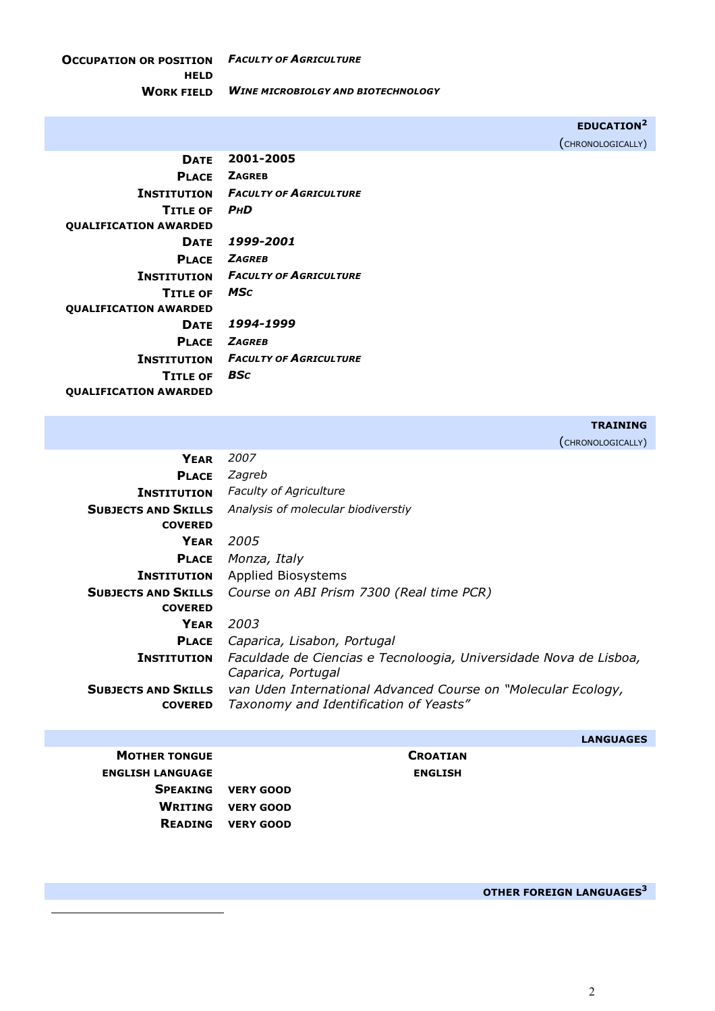**OCCUPATION OR POSITION**  *FACULTY OF AGRICULTURE* **HELD WORK FIELD** *WINE MICROBIOLGY AND BIOTECHNOLOGY*

**EDUCATION2** 

(CHRONOLOGICALLY)

| <b>DATE</b>                  | 2001-2005                     |
|------------------------------|-------------------------------|
| <b>PLACE</b>                 | <b>ZAGREB</b>                 |
| Institution                  | <b>FACULTY OF AGRICULTURE</b> |
| <b>TITLE OF</b>              | <b>PHD</b>                    |
| <b>QUALIFICATION AWARDED</b> |                               |
| <b>DATE</b>                  | 1999-2001                     |
| PLACE                        | <b>ZAGREB</b>                 |
| <b>INSTITUTION</b>           | <b>FACULTY OF AGRICULTURE</b> |
| <b>TITLE OF</b>              | MSc                           |
| <b>OUALIFICATION AWARDED</b> |                               |
| <b>DATE</b>                  | 1994-1999                     |
| <b>PIACE</b>                 | <b>ZAGREB</b>                 |
| <b>INSTITUTION</b>           | <b>FACULTY OF AGRICULTURE</b> |
| <b>TITLE OF</b>              | BSc                           |
| <b>OUALIFICATION AWARDED</b> |                               |

**TRAINING** 

(CHRONOLOGICALLY)

| <b>YEAR</b>                | 2007                                                              |  |
|----------------------------|-------------------------------------------------------------------|--|
| <b>PLACE</b>               | Zagreb                                                            |  |
| <b>INSTITUTION</b>         | <b>Faculty of Agriculture</b>                                     |  |
| <b>SUBJECTS AND SKILLS</b> | Analysis of molecular biodiverstiy                                |  |
| <b>COVERED</b>             |                                                                   |  |
| <b>YEAR</b>                | 2005                                                              |  |
| <b>PLACE</b>               | Monza, Italy                                                      |  |
| <b>INSTITUTION</b>         | <b>Applied Biosystems</b>                                         |  |
| <b>SUBJECTS AND SKILLS</b> | Course on ABI Prism 7300 (Real time PCR)                          |  |
| <b>COVERED</b>             |                                                                   |  |
| <b>YEAR</b>                | 2003                                                              |  |
| <b>PLACE</b>               | Caparica, Lisabon, Portugal                                       |  |
| <b>INSTITUTION</b>         | Faculdade de Ciencias e Tecnoloogia, Universidade Nova de Lisboa, |  |
|                            | Caparica, Portugal                                                |  |
| <b>SUBJECTS AND SKILLS</b> | van Uden International Advanced Course on "Molecular Ecology,     |  |
| <b>COVERED</b>             | Taxonomy and Identification of Yeasts"                            |  |
|                            |                                                                   |  |

**CROATIAN ENGLISH LANGUAGE ENGLISH**

**LANGUAGES** 

| <b>MOTHER TONGUE</b>    |                           |
|-------------------------|---------------------------|
| <b>ENGLISH LANGUAGE</b> |                           |
|                         | <b>SPEAKING VERY GOOD</b> |
|                         | <b>WRITING VERY GOOD</b>  |
|                         | <b>READING VERY GOOD</b>  |

l

**OTHER FOREIGN LANGUAGES3**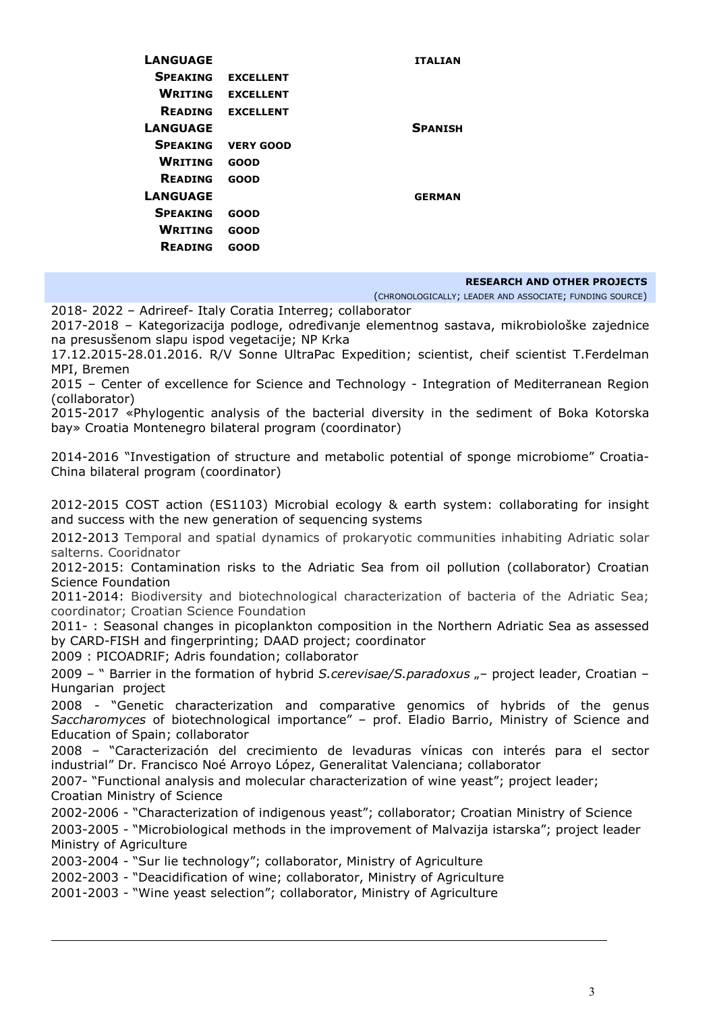| LANGUAGE        |                  | <b>ITALIAN</b> |
|-----------------|------------------|----------------|
| <b>SPEAKING</b> | <b>EXCELLENT</b> |                |
| <b>WRITING</b>  | <b>EXCELLENT</b> |                |
| <b>READING</b>  | <b>EXCELLENT</b> |                |
| <b>LANGUAGE</b> |                  | <b>SPANISH</b> |
| <b>SPEAKING</b> | <b>VERY GOOD</b> |                |
| <b>WRITING</b>  | <b>GOOD</b>      |                |
| <b>READING</b>  | GOOD             |                |
| <b>LANGUAGE</b> |                  | <b>GERMAN</b>  |
| <b>SPEAKING</b> | GOOD             |                |
| <b>WRITING</b>  | GOOD             |                |
| <b>READING</b>  | GOOD             |                |
|                 |                  |                |

#### **RESEARCH AND OTHER PROJECTS**

(CHRONOLOGICALLY; LEADER AND ASSOCIATE; FUNDING SOURCE)

2018- 2022 – Adrireef- Italy Coratia Interreg; collaborator

2017-2018 – Kategorizacija podloge, određivanje elementnog sastava, mikrobiološke zajednice na presusšenom slapu ispod vegetacije; NP Krka

17.12.2015-28.01.2016. R/V Sonne UltraPac Expedition; scientist, cheif scientist T.Ferdelman MPI, Bremen

2015 – Center of excellence for Science and Technology - Integration of Mediterranean Region (collaborator)

2015-2017 «Phylogentic analysis of the bacterial diversity in the sediment of Boka Kotorska bay» Croatia Montenegro bilateral program (coordinator)

2014-2016 "Investigation of structure and metabolic potential of sponge microbiome" Croatia-China bilateral program (coordinator)

2012-2015 COST action (ES1103) Microbial ecology & earth system: collaborating for insight and success with the new generation of sequencing systems

2012-2013 Temporal and spatial dynamics of prokaryotic communities inhabiting Adriatic solar salterns. Cooridnator

2012-2015: Contamination risks to the Adriatic Sea from oil pollution (collaborator) Croatian Science Foundation

2011-2014: Biodiversity and biotechnological characterization of bacteria of the Adriatic Sea; coordinator; Croatian Science Foundation

2011- : Seasonal changes in picoplankton composition in the Northern Adriatic Sea as assessed by CARD-FISH and fingerprinting; DAAD project; coordinator

2009 : PICOADRIF; Adris foundation; collaborator

l

2009 – " Barrier in the formation of hybrid *S.cerevisae/S.paradoxus* "– project leader, Croatian – Hungarian project

2008 - "Genetic characterization and comparative genomics of hybrids of the genus *Saccharomyces* of biotechnological importance" – prof. Eladio Barrio, Ministry of Science and Education of Spain; collaborator

2008 – "Caracterización del crecimiento de levaduras vínicas con interés para el sector industrial" Dr. Francisco Noé Arroyo López, Generalitat Valenciana; collaborator

2007- "Functional analysis and molecular characterization of wine yeast"; project leader; Croatian Ministry of Science

2002-2006 - "Characterization of indigenous yeast"; collaborator; Croatian Ministry of Science

2003-2005 - "Microbiological methods in the improvement of Malvazija istarska"; project leader Ministry of Agriculture

2003-2004 - "Sur lie technology"; collaborator, Ministry of Agriculture

2002-2003 - "Deacidification of wine; collaborator, Ministry of Agriculture

2001-2003 - "Wine yeast selection"; collaborator, Ministry of Agriculture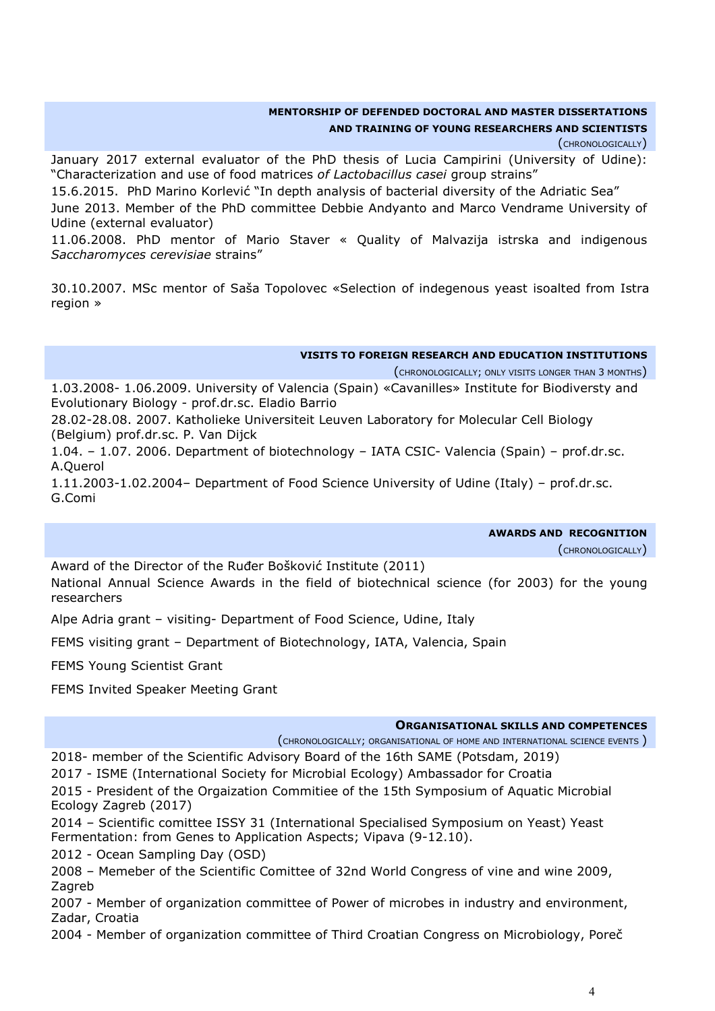## **MENTORSHIP OF DEFENDED DOCTORAL AND MASTER DISSERTATIONS**

## **AND TRAINING OF YOUNG RESEARCHERS AND SCIENTISTS**

(CHRONOLOGICALLY)

January 2017 external evaluator of the PhD thesis of Lucia Campirini (University of Udine): "Characterization and use of food matrices *of Lactobacillus casei* group strains"

15.6.2015. PhD Marino Korlević "In depth analysis of bacterial diversity of the Adriatic Sea"

June 2013. Member of the PhD committee Debbie Andyanto and Marco Vendrame University of Udine (external evaluator)

11.06.2008. PhD mentor of Mario Staver « Quality of Malvazija istrska and indigenous *Saccharomyces cerevisiae* strains"

30.10.2007. MSc mentor of Saša Topolovec «Selection of indegenous yeast isoalted from Istra region »

#### **VISITS TO FOREIGN RESEARCH AND EDUCATION INSTITUTIONS**

(CHRONOLOGICALLY; ONLY VISITS LONGER THAN 3 MONTHS)

1.03.2008- 1.06.2009. University of Valencia (Spain) «Cavanilles» Institute for Biodiversty and Evolutionary Biology - prof.dr.sc. Eladio Barrio

28.02-28.08. 2007. Katholieke Universiteit Leuven Laboratory for Molecular Cell Biology (Belgium) prof.dr.sc. P. Van Dijck

1.04. – 1.07. 2006. Department of biotechnology – IATA CSIC- Valencia (Spain) – prof.dr.sc. A.Querol

1.11.2003-1.02.2004– Department of Food Science University of Udine (Italy) – prof.dr.sc. G.Comi

|  | <b>AWARDS AND RECOGNITION</b> |
|--|-------------------------------|

(CHRONOLOGICALLY)

Award of the Director of the Ruđer Bošković Institute (2011) National Annual Science Awards in the field of biotechnical science (for 2003) for the young researchers

Alpe Adria grant – visiting- Department of Food Science, Udine, Italy

FEMS visiting grant – Department of Biotechnology, IATA, Valencia, Spain

FEMS Young Scientist Grant

FEMS Invited Speaker Meeting Grant

#### **ORGANISATIONAL SKILLS AND COMPETENCES**

(CHRONOLOGICALLY; ORGANISATIONAL OF HOME AND INTERNATIONAL SCIENCE EVENTS )

2018- member of the Scientific Advisory Board of the 16th SAME (Potsdam, 2019)

2017 - ISME (International Society for Microbial Ecology) Ambassador for Croatia

2015 - President of the Orgaization Commitiee of the 15th Symposium of Aquatic Microbial Ecology Zagreb (2017)

2014 – Scientific comittee ISSY 31 (International Specialised Symposium on Yeast) Yeast Fermentation: from Genes to Application Aspects; Vipava (9-12.10).

2012 - Ocean Sampling Day (OSD)

2008 – Memeber of the Scientific Comittee of 32nd World Congress of vine and wine 2009, Zagreb

2007 - Member of organization committee of Power of microbes in industry and environment, Zadar, Croatia

2004 - Member of organization committee of Third Croatian Congress on Microbiology, Poreč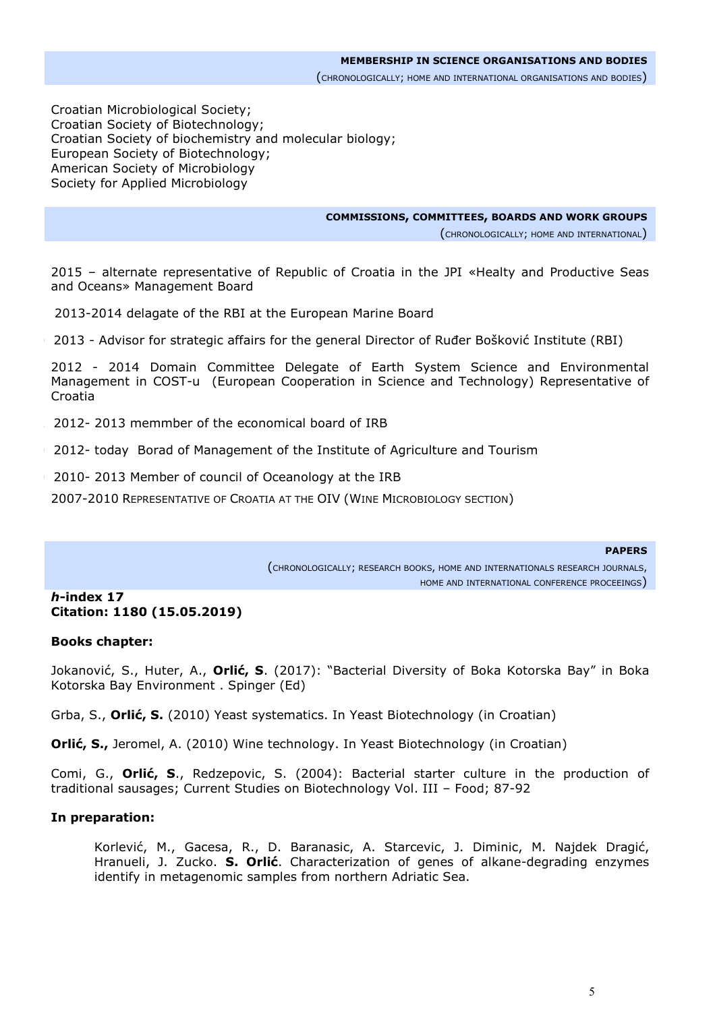Croatian Microbiological Society; Croatian Society of Biotechnology; Croatian Society of biochemistry and molecular biology; European Society of Biotechnology; American Society of Microbiology Society for Applied Microbiology

**COMMISSIONS, COMMITTEES, BOARDS AND WORK GROUPS**

(CHRONOLOGICALLY; HOME AND INTERNATIONAL)

 2015 – alternate representative of Republic of Croatia in the JPI «Healty and Productive Seas and Oceans» Management Board

2 2013-2014 delagate of the RBI at the European Marine Board

20 2013 - Advisor for strategic affairs for the general Director of Ruđer Bošković Institute (RBI)

 2012 - 2014 Domain Committee Delegate of Earth System Science and Environmental Management in COST-u (European Cooperation in Science and Technology) Representative of Croatia

22 2012- 2013 memmber of the economical board of IRB

20 2012- today Borad of Management of the Institute of Agriculture and Tourism

20 2010- 2013 Member of council of Oceanology at the IRB

2007-2010 REPRESENTATIVE OF CROATIA AT THE OIV (WINE MICROBIOLOGY SECTION)

#### **PAPERS**

(CHRONOLOGICALLY; RESEARCH BOOKS, HOME AND INTERNATIONALS RESEARCH JOURNALS, HOME AND INTERNATIONAL CONFERENCE PROCEEINGS)

#### *h***-index 17 Citation: 1180 (15.05.2019)**

#### **Books chapter:**

Jokanović, S., Huter, A., **Orlić, S**. (2017): "Bacterial Diversity of Boka Kotorska Bay" in Boka Kotorska Bay Environment . Spinger (Ed)

Grba, S., **Orlić, S.** (2010) Yeast systematics. In Yeast Biotechnology (in Croatian)

**Orlić, S.,** Jeromel, A. (2010) Wine technology. In Yeast Biotechnology (in Croatian)

Comi, G., **Orlić, S**., Redzepovic, S. (2004): Bacterial starter culture in the production of traditional sausages; Current Studies on Biotechnology Vol. III – Food; 87-92

#### **In preparation:**

Korlević, M., Gacesa, R., D. Baranasic, A. Starcevic, J. Diminic, M. Najdek Dragić, Hranueli, J. Zucko. **S. Orlić**. Characterization of genes of alkane-degrading enzymes identify in metagenomic samples from northern Adriatic Sea.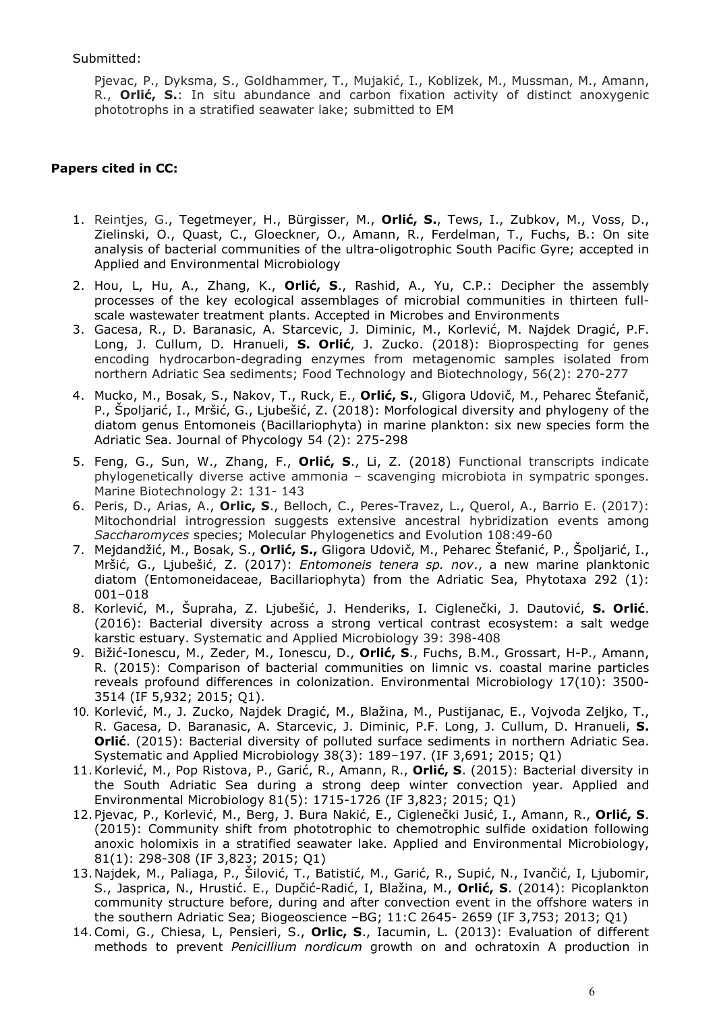Submitted:

Pjevac, P., Dyksma, S., Goldhammer, T., Mujakić, I., Koblizek, M., Mussman, M., Amann, R., **Orlić, S.**: In situ abundance and carbon fixation activity of distinct anoxygenic phototrophs in a stratified seawater lake; submitted to EM

## **Papers cited in CC:**

- 1. Reintjes, G., Tegetmeyer, H., Bürgisser, M., **Orlić, S.**, Tews, I., Zubkov, M., Voss, D., Zielinski, O., Quast, C., Gloeckner, O., Amann, R., Ferdelman, T., Fuchs, B.: On site analysis of bacterial communities of the ultra-oligotrophic South Pacific Gyre; accepted in Applied and Environmental Microbiology
- 2. Hou, L, Hu, A., Zhang, K., **Orlić, S**., Rashid, A., Yu, C.P.: Decipher the assembly processes of the key ecological assemblages of microbial communities in thirteen fullscale wastewater treatment plants. Accepted in Microbes and Environments
- 3. Gacesa, R., D. Baranasic, A. Starcevic, J. Diminic, M., Korlević, M. Najdek Dragić, P.F. Long, J. Cullum, D. Hranueli, **S. Orlić**, J. Zucko. (2018): Bioprospecting for genes encoding hydrocarbon-degrading enzymes from metagenomic samples isolated from northern Adriatic Sea sediments; Food Technology and Biotechnology, 56(2): 270-277
- 4. Mucko, M., Bosak, S., Nakov, T., Ruck, E., **Orlić, S.**, Gligora Udovič, M., Peharec Štefanič, P., Špoljarić, I., Mršić, G., Ljubešić, Z. (2018): Morfological diversity and phylogeny of the diatom genus Entomoneis (Bacillariophyta) in marine plankton: six new species form the Adriatic Sea. Journal of Phycology 54 (2): 275-298
- 5. Feng, G., Sun, W., Zhang, F., **Orlić, S**., Li, Z. (2018) Functional transcripts indicate phylogenetically diverse active ammonia – scavenging microbiota in sympatric sponges. Marine Biotechnology 2: 131- 143
- 6. Peris, D., Arias, A., **Orlic, S**., Belloch, C., Peres-Travez, L., Querol, A., Barrio E. (2017): Mitochondrial introgression suggests extensive ancestral hybridization events among *Saccharomyces* species; Molecular Phylogenetics and Evolution 108:49-60
- 7. Mejdandžić, M., Bosak, S., **Orlić, S.,** Gligora Udovič, M., Peharec Štefanić, P., Špoljarić, I., Mršić, G., Ljubešić, Z. (2017): *Entomoneis tenera sp. nov*., a new marine planktonic diatom (Entomoneidaceae, Bacillariophyta) from the Adriatic Sea, Phytotaxa 292 (1): 001–018
- 8. Korlević, M., Šupraha, Z. Ljubešić, J. Henderiks, I. Ciglenečki, J. Dautović, **S. Orlić**. (2016): Bacterial diversity across a strong vertical contrast ecosystem: a salt wedge karstic estuary. Systematic and Applied Microbiology 39: 398-408
- 9. Bižić-Ionescu, M., Zeder, M., Ionescu, D., **Orlić, S**., Fuchs, B.M., Grossart, H-P., Amann, R. (2015): Comparison of bacterial communities on limnic vs. coastal marine particles reveals profound differences in colonization. Environmental Microbiology 17(10): 3500- 3514 (IF 5,932; 2015; Q1).
- 10. Korlević, M., J. Zucko, Najdek Dragić, M., Blažina, M., Pustijanac, E., Vojvoda Zeljko, T., R. Gacesa, D. Baranasic, A. Starcevic, J. Diminic, P.F. Long, J. Cullum, D. Hranueli, **S. Orlić**. (2015): Bacterial diversity of polluted surface sediments in northern Adriatic Sea. Systematic and Applied Microbiology 38(3): 189–197. (IF 3,691; 2015; Q1)
- 11.Korlević, M., Pop Ristova, P., Garić, R., Amann, R., **Orlić, S**. (2015): Bacterial diversity in the South Adriatic Sea during a strong deep winter convection year. Applied and Environmental Microbiology 81(5): 1715-1726 (IF 3,823; 2015; Q1)
- 12.Pjevac, P., Korlević, M., Berg, J. Bura Nakić, E., Ciglenečki Jusić, I., Amann, R., **Orlić, S**. (2015): Community shift from phototrophic to chemotrophic sulfide oxidation following anoxic holomixis in a stratified seawater lake. Applied and Environmental Microbiology, 81(1): 298-308 (IF 3,823; 2015; Q1)
- 13.Najdek, M., Paliaga, P., Šilović, T., Batistić, M., Garić, R., Supić, N., Ivančić, I, Ljubomir, S., Jasprica, N., Hrustić. E., Dupčić-Radić, I, Blažina, M., **Orlić, S**. (2014): Picoplankton community structure before, during and after convection event in the offshore waters in the southern Adriatic Sea; Biogeoscience –BG; 11:C 2645- 2659 (IF 3,753; 2013; Q1)
- 14.Comi, G., Chiesa, L, Pensieri, S., **Orlic, S**., Iacumin, L. (2013): Evaluation of different methods to prevent *Penicillium nordicum* growth on and ochratoxin A production in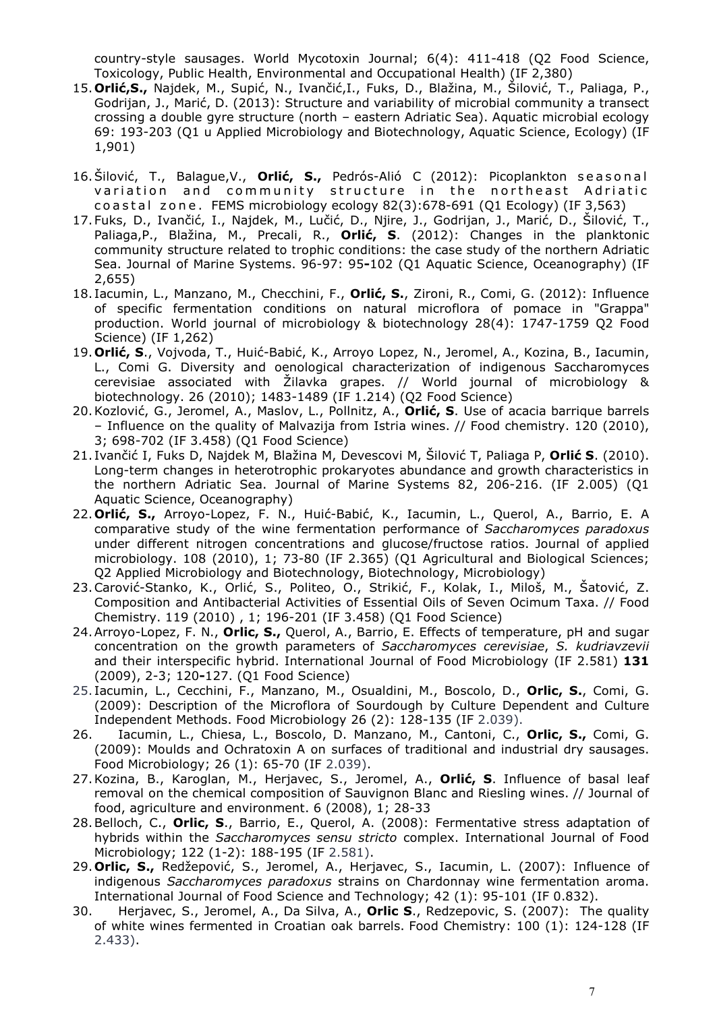country-style sausages. World Mycotoxin Journal; 6(4): 411-418 (Q2 Food Science, Toxicology, Public Health, Environmental and Occupational Health) (IF 2,380)

- 15.**Orlić,S.,** Najdek, M., Supić, N., Ivančić,I., Fuks, D., Blažina, M., Šilović, T., Paliaga, P., Godrijan, J., Marić, D. (2013): Structure and variability of microbial community a transect crossing a double gyre structure (north – eastern Adriatic Sea). Aquatic microbial ecology 69: 193-203 (Q1 u Applied Microbiology and Biotechnology, Aquatic Science, Ecology) (IF 1,901)
- 16.Šilović, T., Balague,V., **Orlić, S.,** Pedrós-Alió C (2012): Picoplankton seasonal variation and community structure in the northeast Adriatic coastal zone. FEMS microbiology ecology 82(3):678-691 (Q1 Ecology) (IF 3,563)
- 17.Fuks, D., Ivančić, I., Najdek, M., Lučić, D., Njire, J., Godrijan, J., Marić, D., Šilović, T., Paliaga,P., Blažina, M., Precali, R., **Orlić, S**. (2012): Changes in the planktonic community structure related to trophic conditions: the case study of the northern Adriatic Sea. Journal of Marine Systems. 96-97: 95**-**102 (Q1 Aquatic Science, Oceanography) (IF 2,655)
- 18. Iacumin, L., Manzano, M., Checchini, F., **Orlić, S.**, Zironi, R., Comi, G. (2012): Influence of specific fermentation conditions on natural microflora of pomace in "Grappa" production. World journal of microbiology & biotechnology 28(4): 1747-1759 Q2 Food Science) (IF 1,262)
- 19.**Orlić, S**., Vojvoda, T., Huić-Babić, K., Arroyo Lopez, N., Jeromel, A., Kozina, B., Iacumin, L., Comi G. Diversity and oenological characterization of indigenous Saccharomyces cerevisiae associated with Žilavka grapes. // World journal of microbiology & biotechnology. 26 (2010); 1483-1489 (IF 1.214) (Q2 Food Science)
- 20.Kozlović, G., Jeromel, A., Maslov, L., Pollnitz, A., **Orlić, S**. Use of acacia barrique barrels – Influence on the quality of Malvazija from Istria wines. // Food chemistry. 120 (2010), 3; 698-702 (IF 3.458) (Q1 Food Science)
- 21. Ivančić I, Fuks D, Najdek M, Blažina M, Devescovi M, Šilović T, Paliaga P, **Orlić S**. (2010). Long-term changes in heterotrophic prokaryotes abundance and growth characteristics in the northern Adriatic Sea. Journal of Marine Systems 82, 206-216. (IF 2.005) (Q1 Aquatic Science, Oceanography)
- 22.**Orlić, S.,** Arroyo-Lopez, F. N., Huić-Babić, K., Iacumin, L., Querol, A., Barrio, E. A comparative study of the wine fermentation performance of *Saccharomyces paradoxus* under different nitrogen concentrations and glucose/fructose ratios. Journal of applied microbiology. 108 (2010), 1; 73-80 (IF 2.365) (Q1 Agricultural and Biological Sciences; Q2 Applied Microbiology and Biotechnology, Biotechnology, Microbiology)
- 23.Carović-Stanko, K., Orlić, S., Politeo, O., Strikić, F., Kolak, I., Miloš, M., Šatović, Z. Composition and Antibacterial Activities of Essential Oils of Seven Ocimum Taxa. // Food Chemistry. 119 (2010) , 1; 196-201 (IF 3.458) (Q1 Food Science)
- 24.Arroyo-Lopez, F. N., **Orlic, S.,** Querol, A., Barrio, E. Effects of temperature, pH and sugar concentration on the growth parameters of *Saccharomyces cerevisiae*, *S. kudriavzevii* and their interspecific hybrid. International Journal of Food Microbiology (IF 2.581) **131** (2009), 2-3; 120**-**127. (Q1 Food Science)
- 25. Iacumin, L., Cecchini, F., Manzano, M., Osualdini, M., Boscolo, D., **Orlic, S.**, Comi, G. (2009): Description of the Microflora of Sourdough by Culture Dependent and Culture Independent Methods. Food Microbiology 26 (2): 128-135 (IF 2.039).
- 26. Iacumin, L., Chiesa, L., Boscolo, D. Manzano, M., Cantoni, C., **Orlic, S.,** Comi, G. (2009): Moulds and Ochratoxin A on surfaces of traditional and industrial dry sausages. Food Microbiology; 26 (1): 65-70 (IF 2.039).
- 27.Kozina, B., Karoglan, M., Herjavec, S., Jeromel, A., **Orlić, S**. Influence of basal leaf removal on the chemical composition of Sauvignon Blanc and Riesling wines. // Journal of food, agriculture and environment. 6 (2008), 1; 28-33
- 28.Belloch, C., **Orlic, S**., Barrio, E., Querol, A. (2008): Fermentative stress adaptation of hybrids within the *Saccharomyces sensu stricto* complex. International Journal of Food Microbiology; 122 (1-2): 188-195 (IF 2.581).
- 29.**Orlic, S.,** Redžepović, S., Jeromel, A., Herjavec, S., Iacumin, L. (2007): Influence of indigenous *Saccharomyces paradoxus* strains on Chardonnay wine fermentation aroma. International Journal of Food Science and Technology; 42 (1): 95-101 (IF 0.832).
- 30. Herjavec, S., Jeromel, A., Da Silva, A., **Orlic S**., Redzepovic, S. (2007): The quality of white wines fermented in Croatian oak barrels. Food Chemistry: 100 (1): 124-128 (IF 2.433).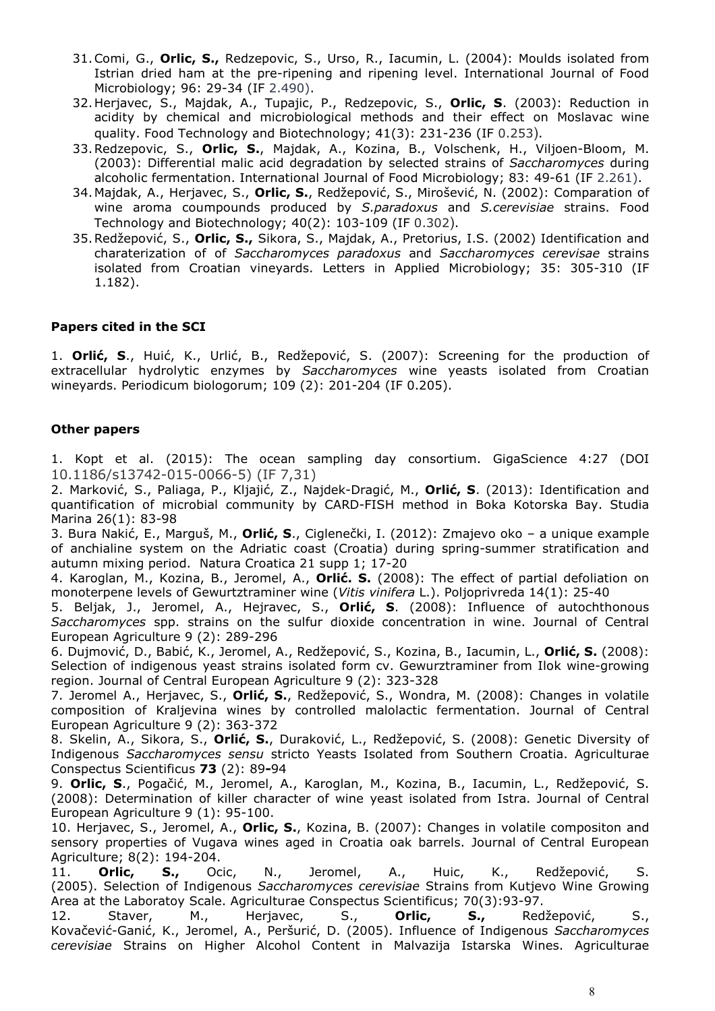- 31.Comi, G., **Orlic, S.,** Redzepovic, S., Urso, R., Iacumin, L. (2004): Moulds isolated from Istrian dried ham at the pre-ripening and ripening level. International Journal of Food Microbiology; 96: 29-34 (IF 2.490).
- 32.Herjavec, S., Majdak, A., Tupajic, P., Redzepovic, S., **Orlic, S**. (2003): Reduction in acidity by chemical and microbiological methods and their effect on Moslavac wine quality. Food Technology and Biotechnology; 41(3): 231-236 (IF 0.253).
- 33.Redzepovic, S., **Orlic, S.**, Majdak, A., Kozina, B., Volschenk, H., Viljoen-Bloom, M. (2003): Differential malic acid degradation by selected strains of *Saccharomyces* during alcoholic fermentation. International Journal of Food Microbiology; 83: 49-61 (IF 2.261).
- 34.Majdak, A., Herjavec, S., **Orlic, S.**, Redžepović, S., Mirošević, N. (2002): Comparation of wine aroma coumpounds produced by *S.paradoxus* and *S.cerevisiae* strains. Food Technology and Biotechnology; 40(2): 103-109 (IF 0.302).
- 35.Redžepović, S., **Orlic, S.,** Sikora, S., Majdak, A., Pretorius, I.S. (2002) Identification and charaterization of of *Saccharomyces paradoxus* and *Saccharomyces cerevisae* strains isolated from Croatian vineyards. Letters in Applied Microbiology; 35: 305-310 (IF 1.182).

#### **Papers cited in the SCI**

1. **Orlić, S**., Huić, K., Urlić, B., Redžepović, S. (2007): Screening for the production of extracellular hydrolytic enzymes by Saccharomyces wine yeasts isolated from Croatian wineyards. Periodicum biologorum; 109 (2): 201-204 (IF 0.205).

#### **Other papers**

1. Kopt et al. (2015): The ocean sampling day consortium. GigaScience 4:27 (DOI 10.1186/s13742-015-0066-5) (IF 7,31)

2. Marković, S., Paliaga, P., Kljajić, Z., Najdek-Dragić, M., **Orlić, S**. (2013): Identification and quantification of microbial community by CARD-FISH method in Boka Kotorska Bay. Studia Marina 26(1): 83-98

3. Bura Nakić, E., Marguš, M., **Orlić, S**., Ciglenečki, I. (2012): Zmajevo oko – a unique example of anchialine system on the Adriatic coast (Croatia) during spring-summer stratification and autumn mixing period. Natura Croatica 21 supp 1; 17-20

4. Karoglan, M., Kozina, B., Jeromel, A., **Orlić. S.** (2008): The effect of partial defoliation on monoterpene levels of Gewurtztraminer wine (*Vitis vinifera* L.). Poljoprivreda 14(1): 25-40

5. Beljak, J., Jeromel, A., Hejravec, S., **Orlić, S**. (2008): Influence of autochthonous *Saccharomyces* spp. strains on the sulfur dioxide concentration in wine. Journal of Central European Agriculture 9 (2): 289-296

6. Dujmović, D., Babić, K., Jeromel, A., Redžepović, S., Kozina, B., Iacumin, L., **Orlić, S.** (2008): Selection of indigenous yeast strains isolated form cv. Gewurztraminer from Ilok wine-growing region. Journal of Central European Agriculture 9 (2): 323-328

7. Jeromel A., Herjavec, S., **Orlić, S.**, Redžepović, S., Wondra, M. (2008): Changes in volatile composition of Kraljevina wines by controlled malolactic fermentation. Journal of Central European Agriculture 9 (2): 363-372

8. Skelin, A., Sikora, S., **Orlić, S.**, Duraković, L., Redžepović, S. (2008): Genetic Diversity of Indigenous *Saccharomyces sensu* stricto Yeasts Isolated from Southern Croatia. Agriculturae Conspectus Scientificus **73** (2): 89**-**94

9. **Orlic, S**., Pogačić, M., Jeromel, A., Karoglan, M., Kozina, B., Iacumin, L., Redžepović, S. (2008): Determination of killer character of wine yeast isolated from Istra. Journal of Central European Agriculture 9 (1): 95-100.

10. Herjavec, S., Jeromel, A., **Orlic, S.**, Kozina, B. (2007): Changes in volatile compositon and sensory properties of Vugava wines aged in Croatia oak barrels. Journal of Central European Agriculture; 8(2): 194-204.

11. **Orlic, S.,** Ocic, N., Jeromel, A., Huic, K., Redžepović, S. (2005). Selection of Indigenous *Saccharomyces cerevisiae* Strains from Kutjevo Wine Growing Area at the Laboratoy Scale. Agriculturae Conspectus Scientificus; 70(3):93-97. 12. Staver, M., Herjavec, S., **Orlic, S.,** Redžepović, S.,

Kovačević-Ganić, K., Jeromel, A., Peršurić, D. (2005). Influence of Indigenous *Saccharomyces cerevisiae* Strains on Higher Alcohol Content in Malvazija Istarska Wines. Agriculturae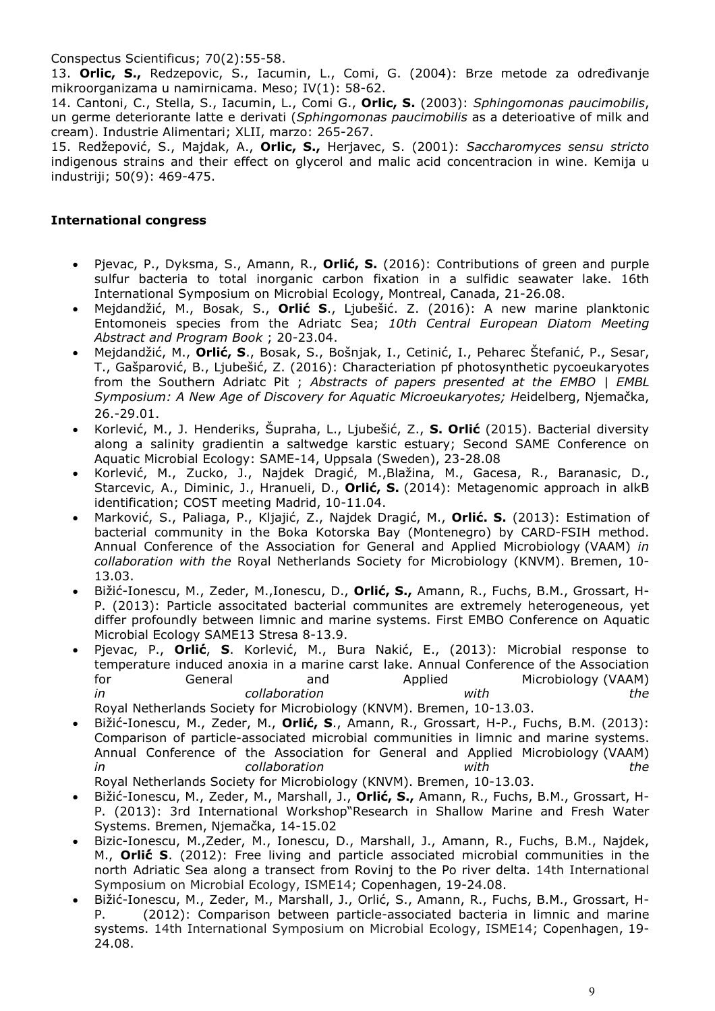Conspectus Scientificus; 70(2):55-58.

13. **Orlic, S.,** Redzepovic, S., Iacumin, L., Comi, G. (2004): Brze metode za određivanje mikroorganizama u namirnicama. Meso; IV(1): 58-62.

14. Cantoni, C., Stella, S., Iacumin, L., Comi G., **Orlic, S.** (2003): *Sphingomonas paucimobilis*, un germe deteriorante latte e derivati (*Sphingomonas paucimobilis* as a deterioative of milk and cream). Industrie Alimentari; XLII, marzo: 265-267.

15. Redžepović, S., Majdak, A., **Orlic, S.,** Herjavec, S. (2001): *Saccharomyces sensu stricto* indigenous strains and their effect on glycerol and malic acid concentracion in wine. Kemija u industriji; 50(9): 469-475.

#### **International congress**

- Pjevac, P., Dyksma, S., Amann, R., **Orlić, S.** (2016): Contributions of green and purple sulfur bacteria to total inorganic carbon fixation in a sulfidic seawater lake. 16th International Symposium on Microbial Ecology, Montreal, Canada, 21-26.08.
- Mejdandžić, M., Bosak, S., **Orlić S**., Ljubešić. Z. (2016): A new marine planktonic Entomoneis species from the Adriatc Sea; *10th Central European Diatom Meeting Abstract and Program Book* ; 20-23.04.
- Mejdandžić, M., **Orlić, S**., Bosak, S., Bošnjak, I., Cetinić, I., Peharec Štefanić, P., Sesar, T., Gašparović, B., Ljubešić, Z. (2016): Characteriation pf photosynthetic pycoeukaryotes from the Southern Adriatc Pit ; *Abstracts of papers presented at the EMBO | EMBL Symposium: A New Age of Discovery for Aquatic Microeukaryotes; H*eidelberg, Njemačka, 26.-29.01.
- Korlević, M., J. Henderiks, Šupraha, L., Ljubešić, Z., **S. Orlić** (2015). Bacterial diversity along a salinity gradientin a saltwedge karstic estuary; Second SAME Conference on Aquatic Microbial Ecology: SAME-14, Uppsala (Sweden), 23-28.08
- Korlević, M., Zucko, J., Najdek Dragić, M.,Blažina, M., Gacesa, R., Baranasic, D., Starcevic, A., Diminic, J., Hranueli, D., **Orlić, S.** (2014): Metagenomic approach in alkB identification; COST meeting Madrid, 10-11.04.
- Marković, S., Paliaga, P., Kljajić, Z., Najdek Dragić, M., **Orlić. S.** (2013): Estimation of bacterial community in the Boka Kotorska Bay (Montenegro) by CARD-FSIH method. Annual Conference of the Association for General and Applied Microbiology (VAAM) *in collaboration with the* Royal Netherlands Society for Microbiology (KNVM). Bremen, 10- 13.03.
- Bižić-Ionescu, M., Zeder, M.,Ionescu, D., **Orlić, S.,** Amann, R., Fuchs, B.M., Grossart, H-P. (2013): Particle associtated bacterial communites are extremely heterogeneous, yet differ profoundly between limnic and marine systems. First EMBO Conference on Aquatic Microbial Ecology SAME13 Stresa 8-13.9.
- Pjevac, P., **Orlić**́, **S**. Korlević, M., Bura Nakić, E., (2013): Microbial response to temperature induced anoxia in a marine carst lake. Annual Conference of the Association for General and Applied Microbiology (VAAM) *in collaboration with the*  Royal Netherlands Society for Microbiology (KNVM). Bremen, 10-13.03.

• Bižić-Ionescu, M., Zeder, M., **Orlić, S**., Amann, R., Grossart, H-P., Fuchs, B.M. (2013): Comparison of particle-associated microbial communities in limnic and marine systems. Annual Conference of the Association for General and Applied Microbiology (VAAM) *in collaboration with the* 

- Royal Netherlands Society for Microbiology (KNVM). Bremen, 10-13.03.
- Bižić-Ionescu, M., Zeder, M., Marshall, J., **Orlić, S.,** Amann, R., Fuchs, B.M., Grossart, H-P. (2013): 3rd International Workshop"Research in Shallow Marine and Fresh Water Systems. Bremen, Njemačka, 14-15.02
- Bizic-Ionescu, M.,Zeder, M., Ionescu, D., Marshall, J., Amann, R., Fuchs, B.M., Najdek, M., **Orlić́ S**. (2012): Free living and particle associated microbial communities in the north Adriatic Sea along a transect from Rovinj to the Po river delta. 14th International Symposium on Microbial Ecology, ISME14; Copenhagen, 19-24.08.
- Bižić-Ionescu, M., Zeder, M., Marshall, J., Orlić, S., Amann, R., Fuchs, B.M., Grossart, H-(2012): Comparison between particle-associated bacteria in limnic and marine systems. 14th International Symposium on Microbial Ecology, ISME14; Copenhagen, 19- 24.08.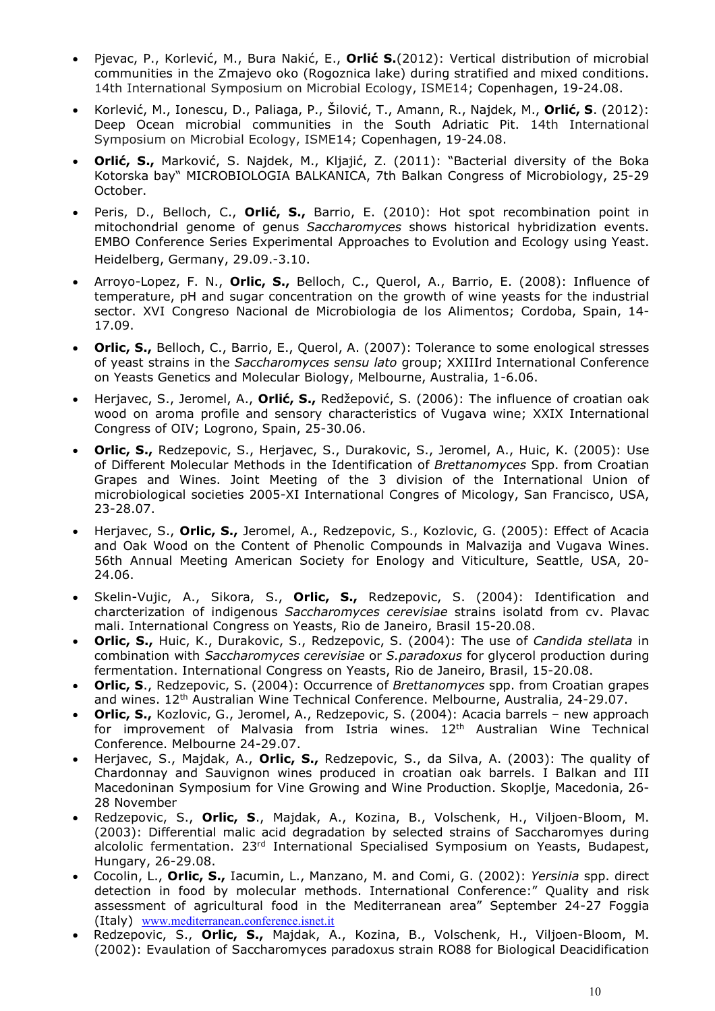- Pjevac, P., Korlević, M., Bura Nakić, E., **Orlić**́ **S.**(2012): Vertical distribution of microbial communities in the Zmajevo oko (Rogoznica lake) during stratified and mixed conditions. 14th International Symposium on Microbial Ecology, ISME14; Copenhagen, 19-24.08.
- Korlević, M., Ionescu, D., Paliaga, P., Šilović, T., Amann, R., Najdek, M., **Orlić, S**. (2012): Deep Ocean microbial communities in the South Adriatic Pit. 14th International Symposium on Microbial Ecology, ISME14; Copenhagen, 19-24.08.
- **Orlić, S.,** Marković, S. Najdek, M., Kljajić, Z. (2011): "Bacterial diversity of the Boka Kotorska bay" MICROBIOLOGIA BALKANICA, 7th Balkan Congress of Microbiology, 25-29 October.
- Peris, D., Belloch, C., **Orlić, S.,** Barrio, E. (2010): Hot spot recombination point in mitochondrial genome of genus *Saccharomyces* shows historical hybridization events. EMBO Conference Series Experimental Approaches to Evolution and Ecology using Yeast. Heidelberg, Germany, 29.09.-3.10.
- Arroyo-Lopez, F. N., **Orlic, S.,** Belloch, C., Querol, A., Barrio, E. (2008): Influence of temperature, pH and sugar concentration on the growth of wine yeasts for the industrial sector. XVI Congreso Nacional de Microbiologia de los Alimentos; Cordoba, Spain, 14- 17.09.
- **Orlic, S.,** Belloch, C., Barrio, E., Querol, A. (2007): Tolerance to some enological stresses of yeast strains in the *Saccharomyces sensu lato* group; XXIIIrd International Conference on Yeasts Genetics and Molecular Biology, Melbourne, Australia, 1-6.06.
- Herjavec, S., Jeromel, A., **Orlić, S.,** Redžepović, S. (2006): The influence of croatian oak wood on aroma profile and sensory characteristics of Vugava wine; XXIX International Congress of OIV; Logrono, Spain, 25-30.06.
- **Orlic, S.,** Redzepovic, S., Herjavec, S., Durakovic, S., Jeromel, A., Huic, K. (2005): Use of Different Molecular Methods in the Identification of *Brettanomyces* Spp. from Croatian Grapes and Wines. Joint Meeting of the 3 division of the International Union of microbiological societies 2005-XI International Congres of Micology, San Francisco, USA, 23-28.07.
- Herjavec, S., **Orlic, S.,** Jeromel, A., Redzepovic, S., Kozlovic, G. (2005): Effect of Acacia and Oak Wood on the Content of Phenolic Compounds in Malvazija and Vugava Wines. 56th Annual Meeting American Society for Enology and Viticulture, Seattle, USA, 20- 24.06.
- Skelin-Vujic, A., Sikora, S., **Orlic, S.,** Redzepovic, S. (2004): Identification and charcterization of indigenous *Saccharomyces cerevisiae* strains isolatd from cv. Plavac mali. International Congress on Yeasts, Rio de Janeiro, Brasil 15-20.08.
- **Orlic, S.,** Huic, K., Durakovic, S., Redzepovic, S. (2004): The use of *Candida stellata* in combination with *Saccharomyces cerevisiae* or *S.paradoxus* for glycerol production during fermentation. International Congress on Yeasts, Rio de Janeiro, Brasil, 15-20.08.
- **Orlic, S**., Redzepovic, S. (2004): Occurrence of *Brettanomyces* spp. from Croatian grapes and wines. 12<sup>th</sup> Australian Wine Technical Conference. Melbourne, Australia, 24-29.07.
- **Orlic, S.,** Kozlovic, G., Jeromel, A., Redzepovic, S. (2004): Acacia barrels new approach for improvement of Malvasia from Istria wines. 12<sup>th</sup> Australian Wine Technical Conference. Melbourne 24-29.07.
- Herjavec, S., Majdak, A., **Orlic, S.,** Redzepovic, S., da Silva, A. (2003): The quality of Chardonnay and Sauvignon wines produced in croatian oak barrels. I Balkan and III Macedoninan Symposium for Vine Growing and Wine Production. Skoplje, Macedonia, 26- 28 November
- Redzepovic, S., **Orlic, S**., Majdak, A., Kozina, B., Volschenk, H., Viljoen-Bloom, M. (2003): Differential malic acid degradation by selected strains of Saccharomyes during alcololic fermentation. 23<sup>rd</sup> International Specialised Symposium on Yeasts, Budapest, Hungary, 26-29.08.
- Cocolin, L., **Orlic, S.,** Iacumin, L., Manzano, M. and Comi, G. (2002): *Yersinia* spp. direct detection in food by molecular methods. International Conference:" Quality and risk assessment of agricultural food in the Mediterranean area" September 24-27 Foggia (Italy) www.mediterranean.conference.isnet.it
- Redzepovic, S., **Orlic, S.,** Majdak, A., Kozina, B., Volschenk, H., Viljoen-Bloom, M. (2002): Evaulation of Saccharomyces paradoxus strain RO88 for Biological Deacidification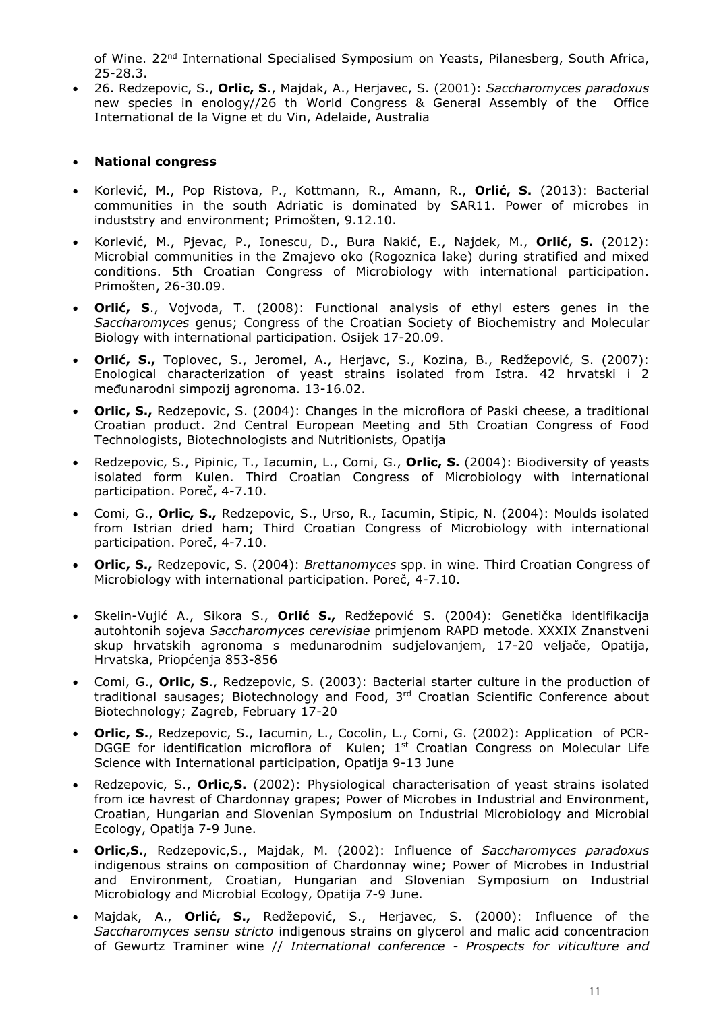of Wine. 22<sup>nd</sup> International Specialised Symposium on Yeasts, Pilanesberg, South Africa, 25-28.3.

• 26. Redzepovic, S., **Orlic, S**., Majdak, A., Herjavec, S. (2001): *Saccharomyces paradoxus* new species in enology//26 th World Congress & General Assembly of the Office International de la Vigne et du Vin, Adelaide, Australia

## • **National congress**

- Korlević, M., Pop Ristova, P., Kottmann, R., Amann, R., **Orlić, S.** (2013): Bacterial communities in the south Adriatic is dominated by SAR11. Power of microbes in induststry and environment; Primošten, 9.12.10.
- Korlević, M., Pjevac, P., Ionescu, D., Bura Nakić, E., Najdek, M., **Orlić, S.** (2012): Microbial communities in the Zmajevo oko (Rogoznica lake) during stratified and mixed conditions. 5th Croatian Congress of Microbiology with international participation. Primošten, 26-30.09.
- **Orlić, S**., Vojvoda, T. (2008): Functional analysis of ethyl esters genes in the *Saccharomyces* genus; Congress of the Croatian Society of Biochemistry and Molecular Biology with international participation. Osijek 17-20.09.
- **Orlić, S.,** Toplovec, S., Jeromel, A., Herjavc, S., Kozina, B., Redžepović, S. (2007): Enological characterization of yeast strains isolated from Istra. 42 hrvatski i 2 međunarodni simpozij agronoma. 13-16.02.
- **Orlic, S.,** Redzepovic, S. (2004): Changes in the microflora of Paski cheese, a traditional Croatian product. 2nd Central European Meeting and 5th Croatian Congress of Food Technologists, Biotechnologists and Nutritionists, Opatija
- Redzepovic, S., Pipinic, T., Iacumin, L., Comi, G., **Orlic, S.** (2004): Biodiversity of yeasts isolated form Kulen. Third Croatian Congress of Microbiology with international participation. Poreč, 4-7.10.
- Comi, G., **Orlic, S.,** Redzepovic, S., Urso, R., Iacumin, Stipic, N. (2004): Moulds isolated from Istrian dried ham; Third Croatian Congress of Microbiology with international participation. Poreč, 4-7.10.
- **Orlic, S.,** Redzepovic, S. (2004): *Brettanomyces* spp. in wine. Third Croatian Congress of Microbiology with international participation. Poreč, 4-7.10.
- Skelin-Vujić A., Sikora S., **Orlić S.,** Redžepović S. (2004): Genetička identifikacija autohtonih sojeva *Saccharomyces cerevisiae* primjenom RAPD metode. XXXIX Znanstveni skup hrvatskih agronoma s međunarodnim sudjelovanjem, 17-20 veljače, Opatija, Hrvatska, Priopćenja 853-856
- Comi, G., **Orlic, S**., Redzepovic, S. (2003): Bacterial starter culture in the production of traditional sausages; Biotechnology and Food, 3rd Croatian Scientific Conference about Biotechnology; Zagreb, February 17-20
- **Orlic, S.**, Redzepovic, S., Iacumin, L., Cocolin, L., Comi, G. (2002): Application of PCR-DGGE for identification microflora of Kulen; 1<sup>st</sup> Croatian Congress on Molecular Life Science with International participation, Opatija 9-13 June
- Redzepovic, S., **Orlic,S.** (2002): Physiological characterisation of yeast strains isolated from ice havrest of Chardonnay grapes; Power of Microbes in Industrial and Environment, Croatian, Hungarian and Slovenian Symposium on Industrial Microbiology and Microbial Ecology, Opatija 7-9 June.
- **Orlic,S.**, Redzepovic,S., Majdak, M. (2002): Influence of *Saccharomyces paradoxus* indigenous strains on composition of Chardonnay wine; Power of Microbes in Industrial and Environment, Croatian, Hungarian and Slovenian Symposium on Industrial Microbiology and Microbial Ecology, Opatija 7-9 June.
- Majdak, A., **Orlić, S.,** Redžepović, S., Herjavec, S. (2000): Influence of the *Saccharomyces sensu stricto* indigenous strains on glycerol and malic acid concentracion of Gewurtz Traminer wine // *International conference - Prospects for viticulture and*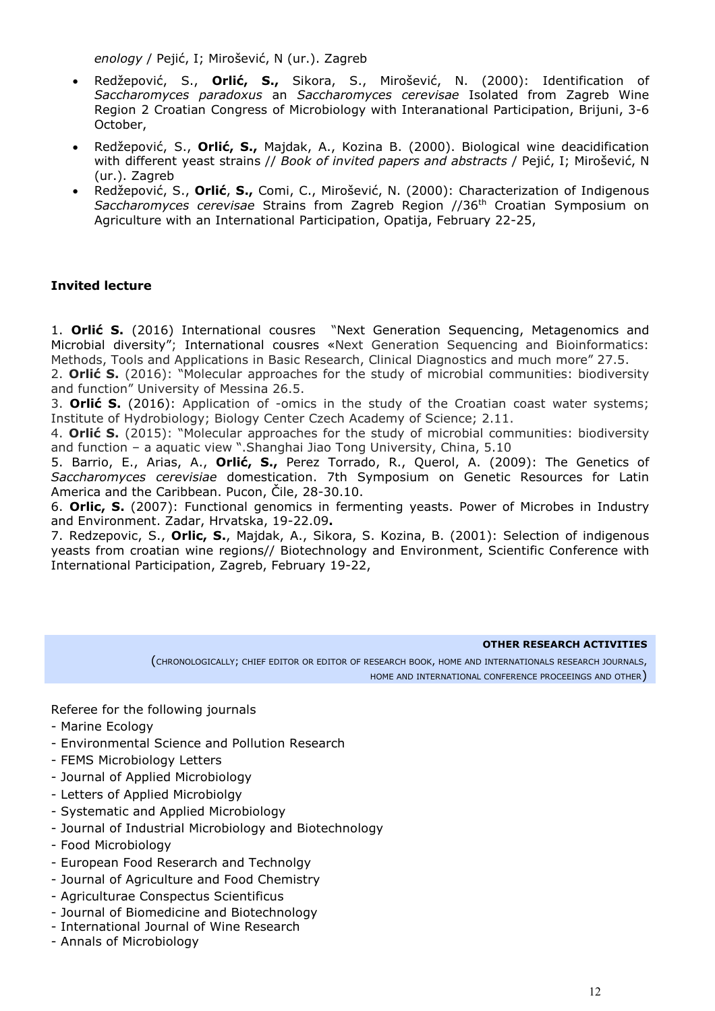*enology* / Pejić, I; Mirošević, N (ur.). Zagreb

- Redžepović, S., **Orlić, S.,** Sikora, S., Mirošević, N. (2000): Identification of *Saccharomyces paradoxus* an *Saccharomyces cerevisae* Isolated from Zagreb Wine Region 2 Croatian Congress of Microbiology with Interanational Participation, Brijuni, 3-6 October,
- Redžepović, S., **Orlić, S.,** Majdak, A., Kozina B. (2000). Biological wine deacidification with different yeast strains // *Book of invited papers and abstracts* / Pejić, I; Mirošević, N (ur.). Zagreb
- Redžepović, S., **Orlić**, **S.,** Comi, C., Mirošević, N. (2000): Characterization of Indigenous *Saccharomyces cerevisae* Strains from Zagreb Region //36th Croatian Symposium on Agriculture with an International Participation, Opatija, February 22-25,

## **Invited lecture**

1. **Orlić S.** (2016) International cousres "Next Generation Sequencing, Metagenomics and Microbial diversity"; International cousres «Next Generation Sequencing and Bioinformatics: Methods, Tools and Applications in Basic Research, Clinical Diagnostics and much more" 27.5.

2. **Orlić S.** (2016): "Molecular approaches for the study of microbial communities: biodiversity and function" University of Messina 26.5.

3. **Orlić S.** (2016): Application of -omics in the study of the Croatian coast water systems; Institute of Hydrobiology; Biology Center Czech Academy of Science; 2.11.

4. **Orlić S.** (2015): "Molecular approaches for the study of microbial communities: biodiversity and function – a aquatic view ".Shanghai Jiao Tong University, China, 5.10

5. Barrio, E., Arias, A., **Orlić, S.,** Perez Torrado, R., Querol, A. (2009): The Genetics of *Saccharomyces cerevisiae* domestication. 7th Symposium on Genetic Resources for Latin America and the Caribbean. Pucon, Čile, 28-30.10.

6. **Orlic, S.** (2007): Functional genomics in fermenting yeasts. Power of Microbes in Industry and Environment. Zadar, Hrvatska, 19-22.09**.** 

7. Redzepovic, S., **Orlic, S.**, Majdak, A., Sikora, S. Kozina, B. (2001): Selection of indigenous yeasts from croatian wine regions// Biotechnology and Environment, Scientific Conference with International Participation, Zagreb, February 19-22,

#### **OTHER RESEARCH ACTIVITIES**

(CHRONOLOGICALLY; CHIEF EDITOR OR EDITOR OF RESEARCH BOOK, HOME AND INTERNATIONALS RESEARCH JOURNALS, HOME AND INTERNATIONAL CONFERENCE PROCEEINGS AND OTHER)

Referee for the following journals

- Marine Ecology
- Environmental Science and Pollution Research
- FEMS Microbiology Letters
- Journal of Applied Microbiology
- Letters of Applied Microbiolgy
- Systematic and Applied Microbiology
- Journal of Industrial Microbiology and Biotechnology
- Food Microbiology
- European Food Reserarch and Technolgy
- Journal of Agriculture and Food Chemistry
- Agriculturae Conspectus Scientificus
- Journal of Biomedicine and Biotechnology
- International Journal of Wine Research
- Annals of Microbiology